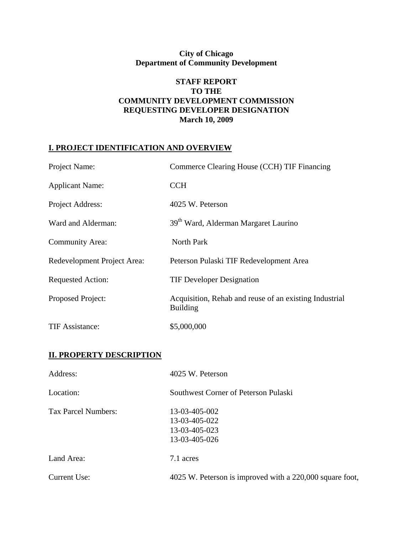# **City of Chicago Department of Community Development**

### **STAFF REPORT TO THE COMMUNITY DEVELOPMENT COMMISSION REQUESTING DEVELOPER DESIGNATION March 10, 2009**

### **I. PROJECT IDENTIFICATION AND OVERVIEW**

| Project Name:                   | Commerce Clearing House (CCH) TIF Financing                               |  |  |
|---------------------------------|---------------------------------------------------------------------------|--|--|
| <b>Applicant Name:</b>          | <b>CCH</b>                                                                |  |  |
| Project Address:                | 4025 W. Peterson                                                          |  |  |
| Ward and Alderman:              | 39 <sup>th</sup> Ward, Alderman Margaret Laurino                          |  |  |
| <b>Community Area:</b>          | North Park                                                                |  |  |
| Redevelopment Project Area:     | Peterson Pulaski TIF Redevelopment Area                                   |  |  |
| <b>Requested Action:</b>        | <b>TIF Developer Designation</b>                                          |  |  |
| Proposed Project:               | Acquisition, Rehab and reuse of an existing Industrial<br><b>Building</b> |  |  |
| <b>TIF Assistance:</b>          | \$5,000,000                                                               |  |  |
| <b>II. PROPERTY DESCRIPTION</b> |                                                                           |  |  |
| Address:                        | 4025 W. Peterson                                                          |  |  |
| Location:                       | Southwest Corner of Peterson Pulaski                                      |  |  |
| <b>Tax Parcel Numbers:</b>      | 13-03-405-002<br>13-03-405-022<br>13-03-405-023<br>13-03-405-026          |  |  |
| Land Area:                      | 7.1 acres                                                                 |  |  |
| <b>Current Use:</b>             | 4025 W. Peterson is improved with a 220,000 square foot,                  |  |  |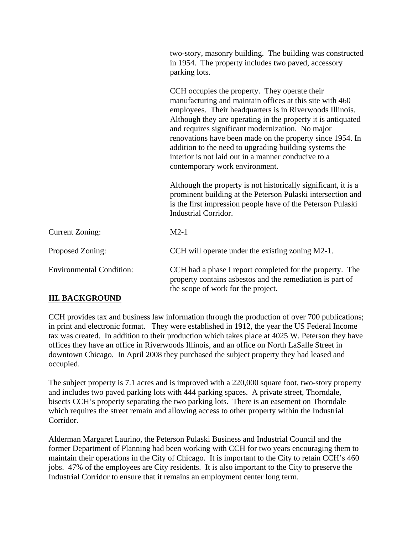|                                                                                                                                   | two-story, masonry building. The building was constructed<br>in 1954. The property includes two paved, accessory<br>parking lots.                                                                                                                                                                                                                                                                                                                                                                         |
|-----------------------------------------------------------------------------------------------------------------------------------|-----------------------------------------------------------------------------------------------------------------------------------------------------------------------------------------------------------------------------------------------------------------------------------------------------------------------------------------------------------------------------------------------------------------------------------------------------------------------------------------------------------|
|                                                                                                                                   | CCH occupies the property. They operate their<br>manufacturing and maintain offices at this site with 460<br>employees. Their headquarters is in Riverwoods Illinois.<br>Although they are operating in the property it is antiquated<br>and requires significant modernization. No major<br>renovations have been made on the property since 1954. In<br>addition to the need to upgrading building systems the<br>interior is not laid out in a manner conducive to a<br>contemporary work environment. |
|                                                                                                                                   | Although the property is not historically significant, it is a<br>prominent building at the Peterson Pulaski intersection and<br>is the first impression people have of the Peterson Pulaski<br><b>Industrial Corridor.</b>                                                                                                                                                                                                                                                                               |
| <b>Current Zoning:</b>                                                                                                            | $M2-1$                                                                                                                                                                                                                                                                                                                                                                                                                                                                                                    |
| Proposed Zoning:                                                                                                                  | CCH will operate under the existing zoning M2-1.                                                                                                                                                                                                                                                                                                                                                                                                                                                          |
| <b>Environmental Condition:</b>                                                                                                   | CCH had a phase I report completed for the property. The<br>property contains asbestos and the remediation is part of<br>the scope of work for the project.                                                                                                                                                                                                                                                                                                                                               |
| $\mathbf{H}$ $\mathbf{H}$ $\mathbf{H}$ $\mathbf{H}$ $\mathbf{H}$ $\mathbf{H}$ $\mathbf{H}$ $\mathbf{H}$ $\mathbf{H}$ $\mathbf{H}$ |                                                                                                                                                                                                                                                                                                                                                                                                                                                                                                           |

## **III. BACKGROUND**

CCH provides tax and business law information through the production of over 700 publications; in print and electronic format. They were established in 1912, the year the US Federal Income tax was created. In addition to their production which takes place at 4025 W. Peterson they have offices they have an office in Riverwoods Illinois, and an office on North LaSalle Street in downtown Chicago. In April 2008 they purchased the subject property they had leased and occupied.

The subject property is 7.1 acres and is improved with a 220,000 square foot, two-story property and includes two paved parking lots with 444 parking spaces. A private street, Thorndale, bisects CCH's property separating the two parking lots. There is an easement on Thorndale which requires the street remain and allowing access to other property within the Industrial Corridor.

Alderman Margaret Laurino, the Peterson Pulaski Business and Industrial Council and the former Department of Planning had been working with CCH for two years encouraging them to maintain their operations in the City of Chicago. It is important to the City to retain CCH's 460 jobs. 47% of the employees are City residents. It is also important to the City to preserve the Industrial Corridor to ensure that it remains an employment center long term.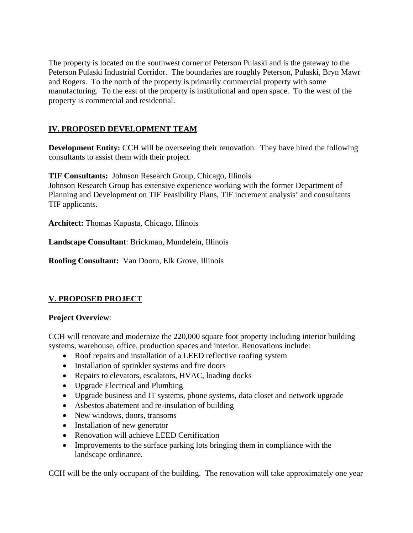The property is located on the southwest corner of Peterson Pulaski and is the gateway to the Peterson Pulaski Industrial Corridor. The boundaries are roughly Peterson, Pulaski, Bryn Mawr and Rogers. To the north of the property is primarily commercial property with some manufacturing. To the east of the property is institutional and open space. To the west of the property is commercial and residential.

## **IV. PROPOSED DEVELOPMENT TEAM**

**Development Entity:** CCH will be overseeing their renovation. They have hired the following consultants to assist them with their project.

**TIF Consultants:** Johnson Research Group, Chicago, Illinois Johnson Research Group has extensive experience working with the former Department of Planning and Development on TIF Feasibility Plans, TIF increment analysis' and consultants TIF applicants.

**Architect:** Thomas Kapusta, Chicago, Illinois

**Landscape Consultant**: Brickman, Mundelein, Illinois

**Roofing Consultant:** Van Doorn, Elk Grove, Illinois

### **V. PROPOSED PROJECT**

#### **Project Overview**:

CCH will renovate and modernize the 220,000 square foot property including interior building systems, warehouse, office, production spaces and interior. Renovations include:

- Roof repairs and installation of a LEED reflective roofing system
- Installation of sprinkler systems and fire doors
- Repairs to elevators, escalators, HVAC, loading docks
- Upgrade Electrical and Plumbing
- Upgrade business and IT systems, phone systems, data closet and network upgrade
- Asbestos abatement and re-insulation of building
- New windows, doors, transoms
- Installation of new generator
- Renovation will achieve LEED Certification
- Improvements to the surface parking lots bringing them in compliance with the landscape ordinance.

CCH will be the only occupant of the building. The renovation will take approximately one year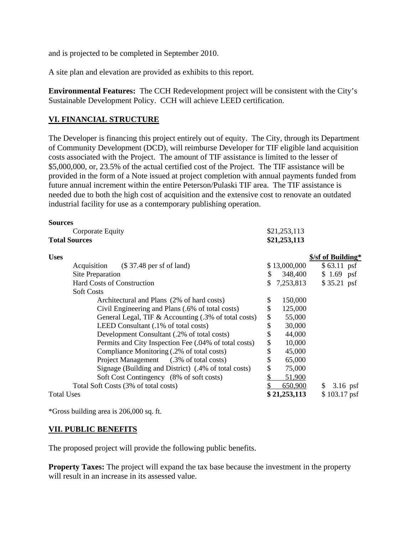and is projected to be completed in September 2010.

A site plan and elevation are provided as exhibits to this report.

**Environmental Features:** The CCH Redevelopment project will be consistent with the City's Sustainable Development Policy. CCH will achieve LEED certification.

#### **VI. FINANCIAL STRUCTURE**

**Sources** 

The Developer is financing this project entirely out of equity. The City, through its Department of Community Development (DCD), will reimburse Developer for TIF eligible land acquisition costs associated with the Project. The amount of TIF assistance is limited to the lesser of \$5,000,000, or, 23.5% of the actual certified cost of the Project. The TIF assistance will be provided in the form of a Note issued at project completion with annual payments funded from future annual increment within the entire Peterson/Pulaski TIF area. The TIF assistance is needed due to both the high cost of acquisition and the extensive cost to renovate an outdated industrial facility for use as a contemporary publishing operation.

| <b>Suurtes</b>                                        |                 |                    |
|-------------------------------------------------------|-----------------|--------------------|
| Corporate Equity                                      | \$21,253,113    |                    |
| <b>Total Sources</b><br>\$21,253,113                  |                 |                    |
| <b>Uses</b>                                           |                 | \$/sf of Building* |
| $($37.48$ per sf of land)<br>Acquisition              | \$13,000,000    | $$63.11$ psf       |
| Site Preparation                                      | 348,400<br>S    | $$1.69$ psf        |
| Hard Costs of Construction                            | \$<br>7,253,813 | $$35.21$ psf       |
| <b>Soft Costs</b>                                     |                 |                    |
| Architectural and Plans (2% of hard costs)            | \$<br>150,000   |                    |
| Civil Engineering and Plans (.6% of total costs)      | \$<br>125,000   |                    |
| General Legal, TIF & Accounting (.3% of total costs)  | \$<br>55,000    |                    |
| LEED Consultant (.1% of total costs)                  | \$<br>30,000    |                    |
| Development Consultant (.2% of total costs)           | \$<br>44,000    |                    |
| Permits and City Inspection Fee (.04% of total costs) | \$<br>10,000    |                    |
| Compliance Monitoring (.2% of total costs)            | \$<br>45,000    |                    |
| Project Management (.3% of total costs)               | \$<br>65,000    |                    |
| Signage (Building and District) (.4% of total costs)  | \$<br>75,000    |                    |
| Soft Cost Contingency (8% of soft costs)              | \$<br>51,900    |                    |
| Total Soft Costs (3% of total costs)                  | 650,900         | $3.16$ psf<br>\$   |
| <b>Total Uses</b>                                     | \$21,253,113    | $$103.17$ psf      |

\*Gross building area is 206,000 sq. ft.

### **VII. PUBLIC BENEFITS**

The proposed project will provide the following public benefits.

**Property Taxes:** The project will expand the tax base because the investment in the property will result in an increase in its assessed value.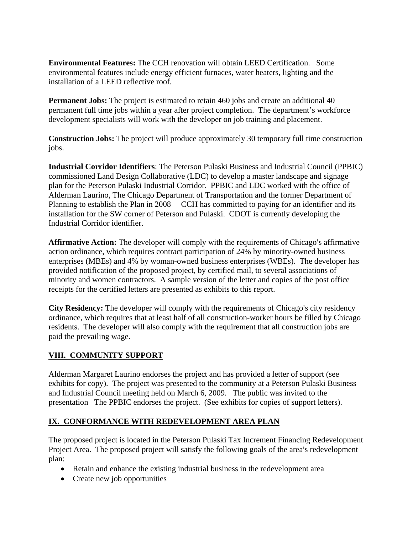**Environmental Features:** The CCH renovation will obtain LEED Certification. Some environmental features include energy efficient furnaces, water heaters, lighting and the installation of a LEED reflective roof.

**Permanent Jobs:** The project is estimated to retain 460 jobs and create an additional 40 permanent full time jobs within a year after project completion. The department's workforce development specialists will work with the developer on job training and placement.

**Construction Jobs:** The project will produce approximately 30 temporary full time construction jobs.

**Industrial Corridor Identifiers**: The Peterson Pulaski Business and Industrial Council (PPBIC) commissioned Land Design Collaborative (LDC) to develop a master landscape and signage plan for the Peterson Pulaski Industrial Corridor. PPBIC and LDC worked with the office of Alderman Laurino, The Chicago Department of Transportation and the former Department of Planning to establish the Plan in 2008 CCH has committed to paying for an identifier and its installation for the SW corner of Peterson and Pulaski. CDOT is currently developing the Industrial Corridor identifier.

**Affirmative Action:** The developer will comply with the requirements of Chicago's affirmative action ordinance, which requires contract participation of 24% by minority-owned business enterprises (MBEs) and 4% by woman-owned business enterprises (WBEs). The developer has provided notification of the proposed project, by certified mail, to several associations of minority and women contractors. A sample version of the letter and copies of the post office receipts for the certified letters are presented as exhibits to this report.

**City Residency:** The developer will comply with the requirements of Chicago's city residency ordinance, which requires that at least half of all construction-worker hours be filled by Chicago residents. The developer will also comply with the requirement that all construction jobs are paid the prevailing wage.

## **VIII. COMMUNITY SUPPORT**

Alderman Margaret Laurino endorses the project and has provided a letter of support (see exhibits for copy). The project was presented to the community at a Peterson Pulaski Business and Industrial Council meeting held on March 6, 2009. The public was invited to the presentation The PPBIC endorses the project. (See exhibits for copies of support letters).

### **IX. CONFORMANCE WITH REDEVELOPMENT AREA PLAN**

The proposed project is located in the Peterson Pulaski Tax Increment Financing Redevelopment Project Area. The proposed project will satisfy the following goals of the area's redevelopment plan:

- Retain and enhance the existing industrial business in the redevelopment area
- Create new job opportunities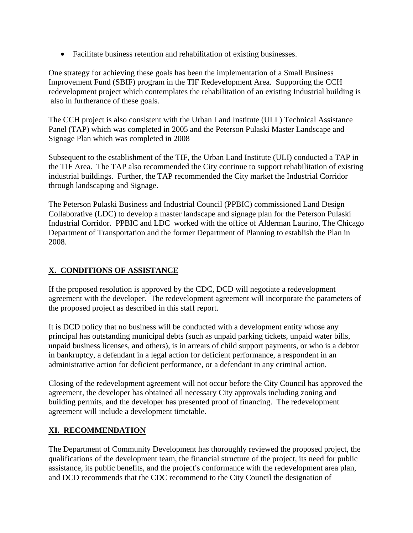• Facilitate business retention and rehabilitation of existing businesses.

One strategy for achieving these goals has been the implementation of a Small Business Improvement Fund (SBIF) program in the TIF Redevelopment Area. Supporting the CCH redevelopment project which contemplates the rehabilitation of an existing Industrial building is also in furtherance of these goals.

The CCH project is also consistent with the Urban Land Institute (ULI ) Technical Assistance Panel (TAP) which was completed in 2005 and the Peterson Pulaski Master Landscape and Signage Plan which was completed in 2008

Subsequent to the establishment of the TIF, the Urban Land Institute (ULI) conducted a TAP in the TIF Area. The TAP also recommended the City continue to support rehabilitation of existing industrial buildings. Further, the TAP recommended the City market the Industrial Corridor through landscaping and Signage.

The Peterson Pulaski Business and Industrial Council (PPBIC) commissioned Land Design Collaborative (LDC) to develop a master landscape and signage plan for the Peterson Pulaski Industrial Corridor. PPBIC and LDC worked with the office of Alderman Laurino, The Chicago Department of Transportation and the former Department of Planning to establish the Plan in 2008.

# **X. CONDITIONS OF ASSISTANCE**

If the proposed resolution is approved by the CDC, DCD will negotiate a redevelopment agreement with the developer. The redevelopment agreement will incorporate the parameters of the proposed project as described in this staff report.

It is DCD policy that no business will be conducted with a development entity whose any principal has outstanding municipal debts (such as unpaid parking tickets, unpaid water bills, unpaid business licenses, and others), is in arrears of child support payments, or who is a debtor in bankruptcy, a defendant in a legal action for deficient performance, a respondent in an administrative action for deficient performance, or a defendant in any criminal action.

Closing of the redevelopment agreement will not occur before the City Council has approved the agreement, the developer has obtained all necessary City approvals including zoning and building permits, and the developer has presented proof of financing. The redevelopment agreement will include a development timetable.

### **XI. RECOMMENDATION**

The Department of Community Development has thoroughly reviewed the proposed project, the qualifications of the development team, the financial structure of the project, its need for public assistance, its public benefits, and the project's conformance with the redevelopment area plan, and DCD recommends that the CDC recommend to the City Council the designation of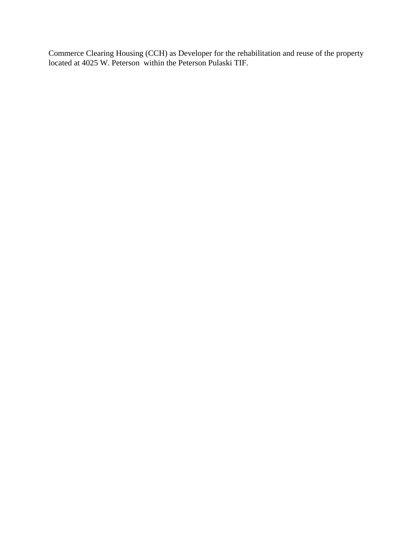Commerce Clearing Housing (CCH) as Developer for the rehabilitation and reuse of the property located at 4025 W. Peterson within the Peterson Pulaski TIF.